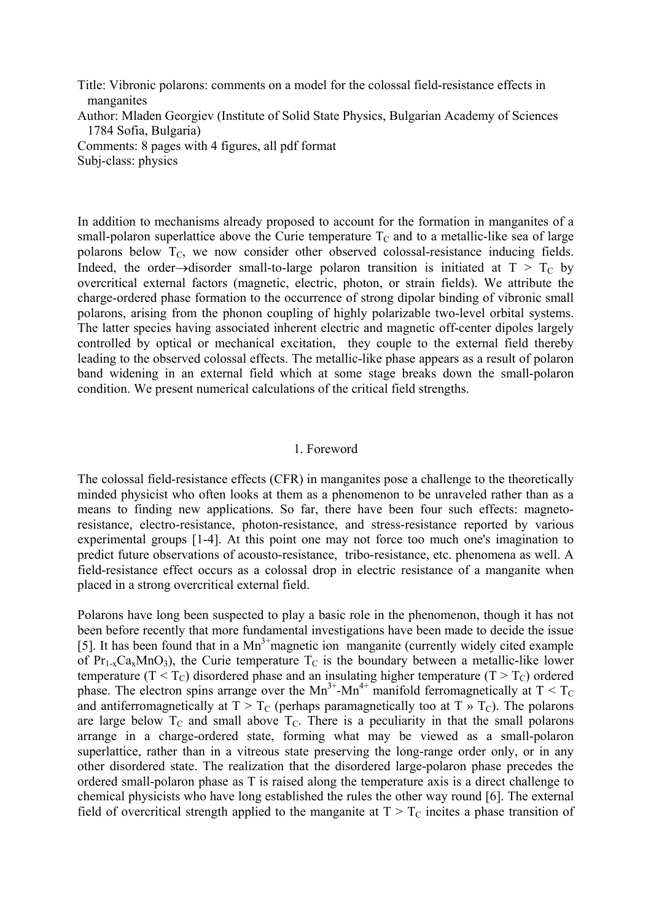Title: Vibronic polarons: comments on a model for the colossal field-resistance effects in manganites

Author: Mladen Georgiev (Institute of Solid State Physics, Bulgarian Academy of Sciences 1784 Sofia, Bulgaria)

Comments: 8 pages with 4 figures, all pdf format

Subj-class: physics

In addition to mechanisms already proposed to account for the formation in manganites of a small-polaron superlattice above the Curie temperature  $T<sub>C</sub>$  and to a metallic-like sea of large polarons below  $T_c$ , we now consider other observed colossal-resistance inducing fields. Indeed, the order $\rightarrow$ disorder small-to-large polaron transition is initiated at T > T<sub>C</sub> by overcritical external factors (magnetic, electric, photon, or strain fields). We attribute the charge-ordered phase formation to the occurrence of strong dipolar binding of vibronic small polarons, arising from the phonon coupling of highly polarizable two-level orbital systems. The latter species having associated inherent electric and magnetic off-center dipoles largely controlled by optical or mechanical excitation, they couple to the external field thereby leading to the observed colossal effects. The metallic-like phase appears as a result of polaron band widening in an external field which at some stage breaks down the small-polaron condition. We present numerical calculations of the critical field strengths.

# 1. Foreword

The colossal field-resistance effects (CFR) in manganites pose a challenge to the theoretically minded physicist who often looks at them as a phenomenon to be unraveled rather than as a means to finding new applications. So far, there have been four such effects: magnetoresistance, electro-resistance, photon-resistance, and stress-resistance reported by various experimental groups [1-4]. At this point one may not force too much one's imagination to predict future observations of acousto-resistance, tribo-resistance, etc. phenomena as well. A field-resistance effect occurs as a colossal drop in electric resistance of a manganite when placed in a strong overcritical external field.

Polarons have long been suspected to play a basic role in the phenomenon, though it has not been before recently that more fundamental investigations have been made to decide the issue [5]. It has been found that in a  $Mn<sup>3+</sup>magnetic$  ion manganite (currently widely cited example of  $Pr_{1-x}Ca_xMnO_3$ , the Curie temperature  $T_c$  is the boundary between a metallic-like lower temperature ( $T < T<sub>C</sub>$ ) disordered phase and an insulating higher temperature ( $T > T<sub>C</sub>$ ) ordered phase. The electron spins arrange over the Mn<sup>3+</sup>-Mn<sup>4+</sup> manifold ferromagnetically at  $T < T_c$ and antiferromagnetically at  $T > T_c$  (perhaps paramagnetically too at T  $\mu$  T<sub>c</sub>). The polarons are large below  $T_c$  and small above  $T_c$ . There is a peculiarity in that the small polarons arrange in a charge-ordered state, forming what may be viewed as a small-polaron superlattice, rather than in a vitreous state preserving the long-range order only, or in any other disordered state. The realization that the disordered large-polaron phase precedes the ordered small-polaron phase as T is raised along the temperature axis is a direct challenge to chemical physicists who have long established the rules the other way round [6]. The external field of overcritical strength applied to the manganite at  $T > T_c$  incites a phase transition of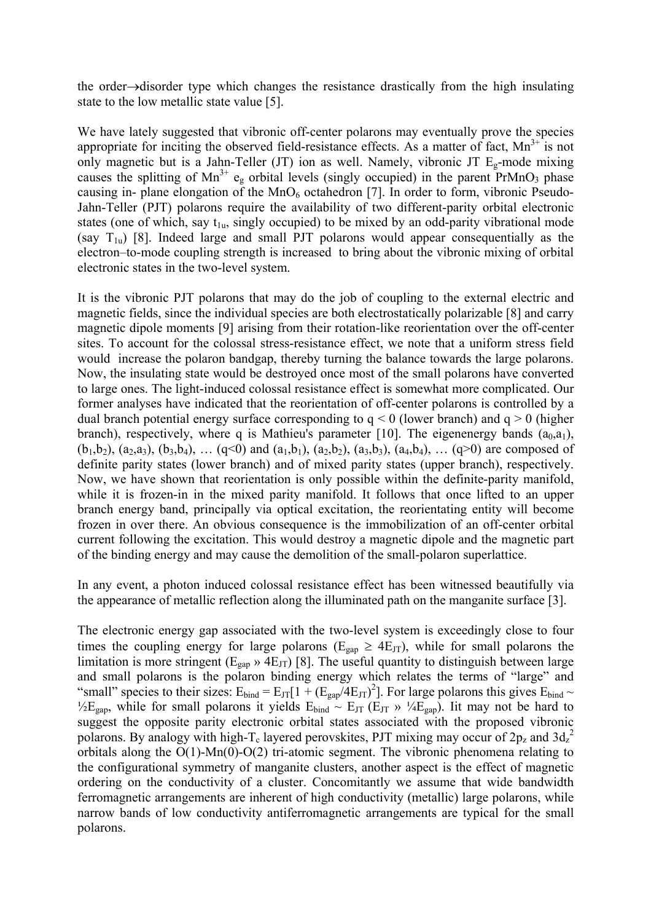the order→disorder type which changes the resistance drastically from the high insulating state to the low metallic state value [5].

We have lately suggested that vibronic off-center polarons may eventually prove the species appropriate for inciting the observed field-resistance effects. As a matter of fact,  $Mn^{3+}$  is not only magnetic but is a Jahn-Teller (JT) ion as well. Namely, vibronic JT  $E_g$ -mode mixing causes the splitting of  $Mn^{3+}$  eg orbital levels (singly occupied) in the parent PrMnO<sub>3</sub> phase causing in- plane elongation of the  $MnO<sub>6</sub>$  octahedron [7]. In order to form, vibronic Pseudo-Jahn-Teller (PJT) polarons require the availability of two different-parity orbital electronic states (one of which, say  $t_{1u}$ , singly occupied) to be mixed by an odd-parity vibrational mode (say  $T_{1u}$ ) [8]. Indeed large and small PJT polarons would appear consequentially as the electron–to-mode coupling strength is increased to bring about the vibronic mixing of orbital electronic states in the two-level system.

It is the vibronic PJT polarons that may do the job of coupling to the external electric and magnetic fields, since the individual species are both electrostatically polarizable [8] and carry magnetic dipole moments [9] arising from their rotation-like reorientation over the off-center sites. To account for the colossal stress-resistance effect, we note that a uniform stress field would increase the polaron bandgap, thereby turning the balance towards the large polarons. Now, the insulating state would be destroyed once most of the small polarons have converted to large ones. The light-induced colossal resistance effect is somewhat more complicated. Our former analyses have indicated that the reorientation of off-center polarons is controlled by a dual branch potential energy surface corresponding to  $q < 0$  (lower branch) and  $q > 0$  (higher branch), respectively, where q is Mathieu's parameter [10]. The eigenenergy bands  $(a_0,a_1)$ ,  $(b_1,b_2)$ ,  $(a_2,a_3)$ ,  $(b_3,b_4)$ ,  $\ldots$   $(q<0)$  and  $(a_1,b_1)$ ,  $(a_2,b_2)$ ,  $(a_3,b_3)$ ,  $(a_4,b_4)$ ,  $\ldots$   $(q>0)$  are composed of definite parity states (lower branch) and of mixed parity states (upper branch), respectively. Now, we have shown that reorientation is only possible within the definite-parity manifold, while it is frozen-in in the mixed parity manifold. It follows that once lifted to an upper branch energy band, principally via optical excitation, the reorientating entity will become frozen in over there. An obvious consequence is the immobilization of an off-center orbital current following the excitation. This would destroy a magnetic dipole and the magnetic part of the binding energy and may cause the demolition of the small-polaron superlattice.

In any event, a photon induced colossal resistance effect has been witnessed beautifully via the appearance of metallic reflection along the illuminated path on the manganite surface [3].

The electronic energy gap associated with the two-level system is exceedingly close to four times the coupling energy for large polarons ( $E_{\text{gap}} \ge 4E_{\text{JT}}$ ), while for small polarons the limitation is more stringent ( $E_{\text{gap}} \rightarrow 4E_{\text{JT}}$ ) [8]. The useful quantity to distinguish between large and small polarons is the polaron binding energy which relates the terms of "large" and "small" species to their sizes:  $E_{bind} = E_{JT} [1 + (E_{gap}/4E_{JT})^2]$ . For large polarons this gives  $E_{bind} \sim$  $\frac{1}{2}E_{\text{gap}}$ , while for small polarons it yields  $E_{\text{bind}} \sim E_{\text{JT}} (E_{\text{JT}} \gg \frac{1}{4}E_{\text{gap}})$ . Iit may not be hard to suggest the opposite parity electronic orbital states associated with the proposed vibronic polarons. By analogy with high-T<sub>c</sub> layered perovskites, PJT mixing may occur of 2 $p_z$  and 3d<sub>z</sub><sup>2</sup> orbitals along the O(1)-Mn(0)-O(2) tri-atomic segment. The vibronic phenomena relating to the configurational symmetry of manganite clusters, another aspect is the effect of magnetic ordering on the conductivity of a cluster. Concomitantly we assume that wide bandwidth ferromagnetic arrangements are inherent of high conductivity (metallic) large polarons, while narrow bands of low conductivity antiferromagnetic arrangements are typical for the small polarons.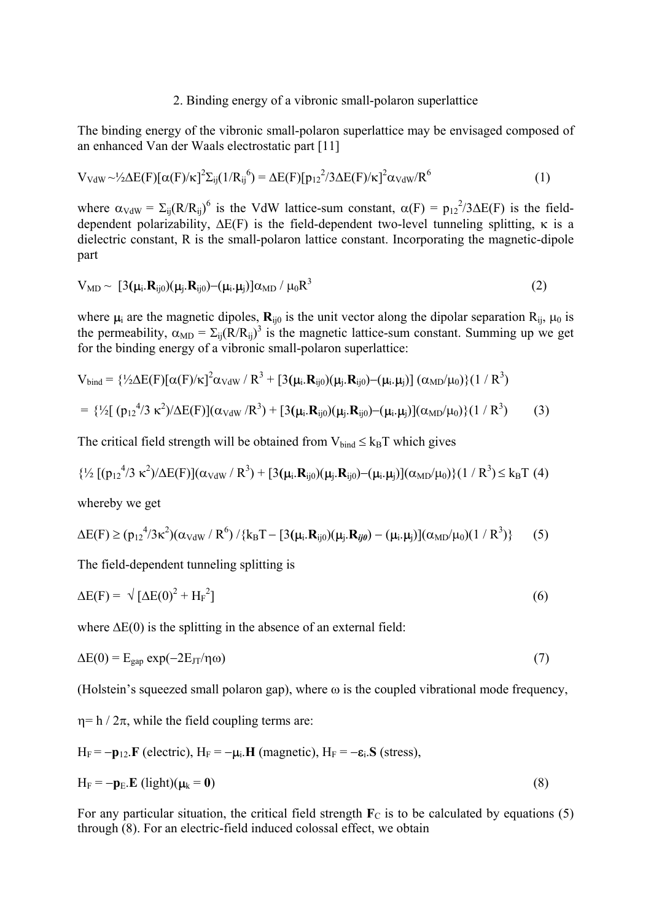#### 2. Binding energy of a vibronic small-polaron superlattice

The binding energy of the vibronic small-polaron superlattice may be envisaged composed of an enhanced Van der Waals electrostatic part [11]

$$
V_{VdW} \sim \frac{1}{2}\Delta E(F)[\alpha(F)/\kappa]^2 \Sigma_{ij}(1/R_{ij}^6) = \Delta E(F)[p_{12}^2/3\Delta E(F)/\kappa]^2 \alpha_{VdW}/R^6
$$
 (1)

where  $\alpha_{VdW} = \Sigma_{ij}(R/R_{ij})^6$  is the VdW lattice-sum constant,  $\alpha(F) = p_{12}^2/3\Delta E(F)$  is the fielddependent polarizability, ∆E(F) is the field-dependent two-level tunneling splitting, κ is a dielectric constant, R is the small-polaron lattice constant. Incorporating the magnetic-dipole part

$$
V_{MD} \sim [3(\mu_i \cdot R_{ij0})(\mu_j \cdot R_{ij0}) - (\mu_i \cdot \mu_j)] \alpha_{MD} / \mu_0 R^3
$$
 (2)

where  $\mu_i$  are the magnetic dipoles,  $\mathbf{R}_{ii0}$  is the unit vector along the dipolar separation  $R_{ii}$ ,  $\mu_0$  is the permeability,  $\alpha_{MD} = \sum_{i} (R/R_{i})^3$  is the magnetic lattice-sum constant. Summing up we get for the binding energy of a vibronic small-polaron superlattice:

$$
V_{bind} = \frac{1}{2}\Delta E(F)[\alpha(F)/\kappa]^2 \alpha_{VdW} / R^3 + [3(\mu_i.R_{ij0})(\mu_j.R_{ij0}) - (\mu_i.\mu_j)] (\alpha_{MD}/\mu_0)\{(1/R^3) \}
$$
  
= 
$$
\frac{1}{2} [\rho_{12}^4/3 \kappa^2)/\Delta E(F)] (\alpha_{VdW} / R^3) + [3(\mu_i.R_{ij0})(\mu_j.R_{ij0}) - (\mu_i.\mu_j)] (\alpha_{MD}/\mu_0)\{(1/R^3) \}
$$
 (3)

The critical field strength will be obtained from  $V_{bind} \leq k_B T$  which gives

$$
\{\frac{1}{2}\left[(p_{12}^4/3\ \kappa^2)/\Delta E(F)\right](\alpha_{VdW}/\ R^3)+[\,3(\mu_i.R_{ij0})(\mu_j.R_{ij0})-(\mu_i.\mu_j)](\alpha_{MD}/\mu_0)\}(1\ / \ R^3)\leq k_BT\ (4)
$$

whereby we get

$$
\Delta E(F) \ge (p_{12}^4/3\kappa^2)(\alpha_{VdW} / R^6) / \{k_B T - [3(\mu_i.R_{ij0})(\mu_j.R_{ij0}) - (\mu_i.\mu_j)](\alpha_{MD}/\mu_0)(1/R^3)\} \tag{5}
$$

The field-dependent tunneling splitting is

$$
\Delta E(F) = \sqrt{\left[\Delta E(0)^2 + H_F^2\right]}
$$
 (6)

where  $\Delta E(0)$  is the splitting in the absence of an external field:

$$
\Delta E(0) = E_{\rm gap} \exp(-2E_{\rm JT}/\eta \omega) \tag{7}
$$

(Holstein's squeezed small polaron gap), where  $\omega$  is the coupled vibrational mode frequency,

 $\eta$ = h / 2 $\pi$ , while the field coupling terms are:

 $H_F = -\mathbf{p}_{12}$ **.F** (electric),  $H_F = -\mathbf{\mu}_i$ **.H** (magnetic),  $H_F = -\mathbf{\varepsilon}_i$ **.S** (stress),

$$
H_F = -\mathbf{p}_E \cdot \mathbf{E} \text{ (light)} (\mathbf{\mu}_k = \mathbf{0}) \tag{8}
$$

For any particular situation, the critical field strength  $\mathbf{F}_{\text{C}}$  is to be calculated by equations (5) through (8). For an electric-field induced colossal effect, we obtain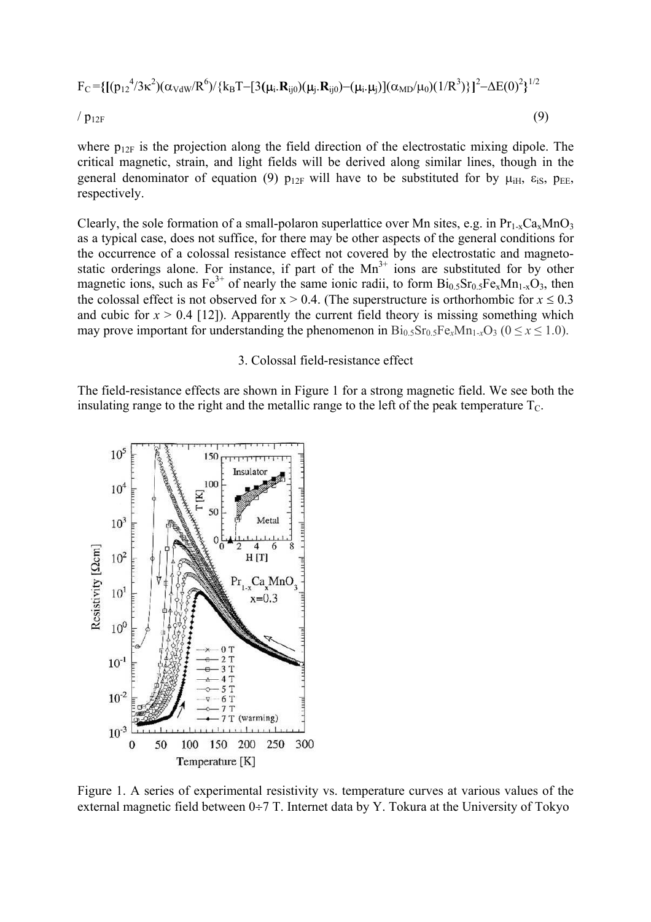$$
F_{C} = \{ [(p_{12}^{4}/3\kappa^{2})(\alpha_{VdW}/R^{6})/\{k_{B}T - [3(\mu_{i}R_{ij0})(\mu_{j}R_{ij0}) - (\mu_{i} \cdot \mu_{j})](\alpha_{MD}/\mu_{0})(1/R^{3})\}]^{2} - \Delta E(0)^{2} \}^{1/2}
$$
\n
$$
/ p_{12F}
$$
\n(9)

where  $p_{12F}$  is the projection along the field direction of the electrostatic mixing dipole. The critical magnetic, strain, and light fields will be derived along similar lines, though in the general denominator of equation (9)  $p_{12F}$  will have to be substituted for by  $\mu_{iH}$ ,  $\varepsilon_{iS}$ ,  $p_{FF}$ , respectively.

Clearly, the sole formation of a small-polaron superlattice over Mn sites, e.g. in  $Pr_{1-x}Ca_xMnO_3$ as a typical case, does not suffice, for there may be other aspects of the general conditions for the occurrence of a colossal resistance effect not covered by the electrostatic and magnetostatic orderings alone. For instance, if part of the  $Mn^{3+}$  ions are substituted for by other magnetic ions, such as  $Fe^{3+}$  of nearly the same ionic radii, to form  $Bi_0$ ,  $Sr_0$ ,  $Fe_xMn_{1-x}O_3$ , then the colossal effect is not observed for  $x > 0.4$ . (The superstructure is orthorhombic for  $x \le 0.3$ ) and cubic for  $x > 0.4$  [12]). Apparently the current field theory is missing something which may prove important for understanding the phenomenon in  $\text{Bi}_0$ ,  $\text{Sr}_0$ ,  $\text{Fe}_x\text{Mn}_1$ ,  $\text{O}_3$  ( $0 \le x \le 1.0$ ).

## 3. Colossal field-resistance effect

The field-resistance effects are shown in Figure 1 for a strong magnetic field. We see both the insulating range to the right and the metallic range to the left of the peak temperature  $T_{\text{C}}$ .



Figure 1. A series of experimental resistivity vs. temperature curves at various values of the external magnetic field between 0÷7 T. Internet data by Y. Tokura at the University of Tokyo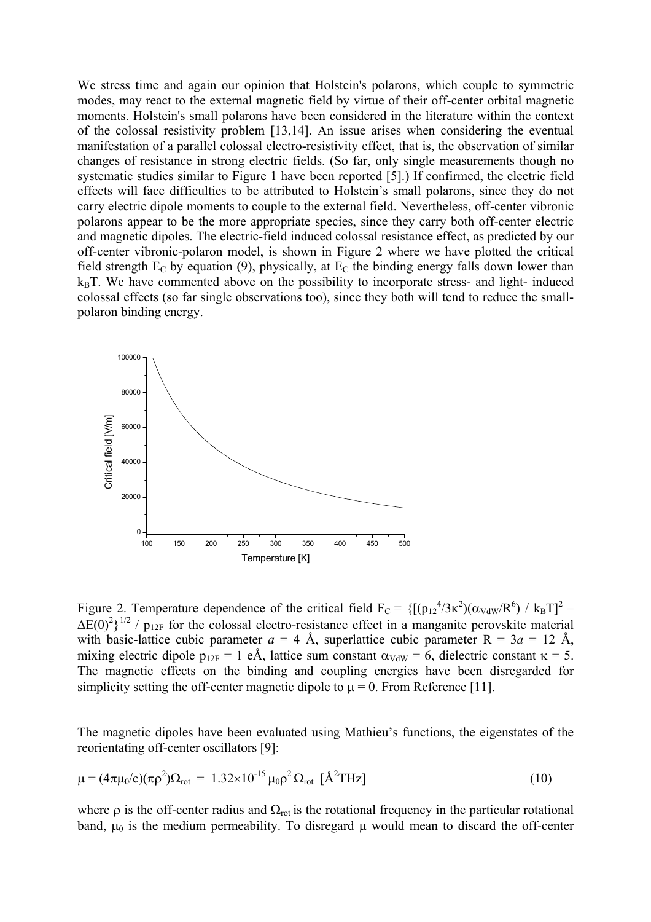We stress time and again our opinion that Holstein's polarons, which couple to symmetric modes, may react to the external magnetic field by virtue of their off-center orbital magnetic moments. Holstein's small polarons have been considered in the literature within the context of the colossal resistivity problem [13,14]. An issue arises when considering the eventual manifestation of a parallel colossal electro-resistivity effect, that is, the observation of similar changes of resistance in strong electric fields. (So far, only single measurements though no systematic studies similar to Figure 1 have been reported [5].) If confirmed, the electric field effects will face difficulties to be attributed to Holstein's small polarons, since they do not carry electric dipole moments to couple to the external field. Nevertheless, off-center vibronic polarons appear to be the more appropriate species, since they carry both off-center electric and magnetic dipoles. The electric-field induced colossal resistance effect, as predicted by our off-center vibronic-polaron model, is shown in Figure 2 where we have plotted the critical field strength  $E_C$  by equation (9), physically, at  $E_C$  the binding energy falls down lower than  $k_B T$ . We have commented above on the possibility to incorporate stress- and light- induced colossal effects (so far single observations too), since they both will tend to reduce the smallpolaron binding energy.



Figure 2. Temperature dependence of the critical field  $F_C = \{[(p_{12}^4/3\kappa^2)(\alpha_{\text{VdW}}/R^6) / k_B T]^2 \Delta E(0)^2$ <sup>1/2</sup> /  $p_{12F}$  for the colossal electro-resistance effect in a manganite perovskite material with basic-lattice cubic parameter  $a = 4$  Å, superlattice cubic parameter  $R = 3a = 12$  Å, mixing electric dipole  $p_{12F} = 1$  eÅ, lattice sum constant  $\alpha_{VdW} = 6$ , dielectric constant  $\kappa = 5$ . The magnetic effects on the binding and coupling energies have been disregarded for simplicity setting the off-center magnetic dipole to  $\mu = 0$ . From Reference [11].

The magnetic dipoles have been evaluated using Mathieu's functions, the eigenstates of the reorientating off-center oscillators [9]:

$$
\mu = (4\pi\mu_0/c)(\pi\rho^2)\Omega_{\text{rot}} = 1.32 \times 10^{-15} \,\mu_0\rho^2 \,\Omega_{\text{rot}} \,\left[\text{Å}^2\text{THz}\right] \tag{10}
$$

where  $\rho$  is the off-center radius and  $\Omega_{\text{rot}}$  is the rotational frequency in the particular rotational band,  $\mu_0$  is the medium permeability. To disregard  $\mu$  would mean to discard the off-center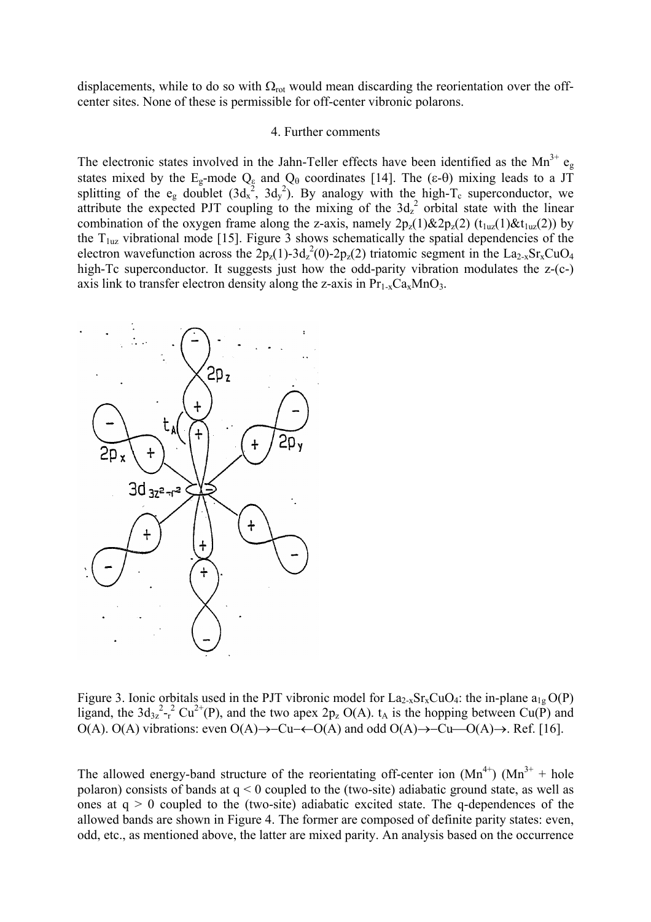displacements, while to do so with  $\Omega_{\text{rot}}$  would mean discarding the reorientation over the offcenter sites. None of these is permissible for off-center vibronic polarons.

#### 4. Further comments

The electronic states involved in the Jahn-Teller effects have been identified as the Mn<sup>3+</sup> e<sub>g</sub> states mixed by the E<sub>g</sub>-mode  $Q_{\epsilon}$  and  $Q_{\theta}$  coordinates [14]. The (ε-θ) mixing leads to a JT splitting of the e<sub>g</sub> doublet  $(3d_x^2, 3d_y^2)$ . By analogy with the high-T<sub>c</sub> superconductor, we attribute the expected PJT coupling to the mixing of the  $3d<sub>z</sub><sup>2</sup>$  orbital state with the linear combination of the oxygen frame along the z-axis, namely  $2p_2(1)\&2p_2(2)$  (t<sub>1uz</sub>(1)&t<sub>1uz</sub>(2)) by the  $T_{1uz}$  vibrational mode [15]. Figure 3 shows schematically the spatial dependencies of the electron wavefunction across the  $2p_z(1)$ -3d<sub>z</sub><sup>2</sup>(0)-2p<sub>z</sub>(2) triatomic segment in the La<sub>2-x</sub>Sr<sub>x</sub>CuO<sub>4</sub> high-Tc superconductor. It suggests just how the odd-parity vibration modulates the z-(c-) axis link to transfer electron density along the z-axis in  $Pr_{1-x}Ca_xMnO_3$ .



Figure 3. Ionic orbitals used in the PJT vibronic model for  $La_{2-x}Sr_xCuO_4$ : the in-plane  $a_{1g}O(P)$ ligand, the  $3d_{3z}^2$ - $^{2}_{r}$  Cu<sup>2+</sup>(P), and the two apex 2p<sub>z</sub> O(A). t<sub>A</sub> is the hopping between Cu(P) and O(A). O(A) vibrations: even O(A)→−Cu–←O(A) and odd O(A)→−Cu—O(A)→. Ref. [16].

The allowed energy-band structure of the reorientating off-center ion  $(Mn^{4+})$   $(Mn^{3+} + hole$ polaron) consists of bands at  $q < 0$  coupled to the (two-site) adiabatic ground state, as well as ones at  $q > 0$  coupled to the (two-site) adiabatic excited state. The q-dependences of the allowed bands are shown in Figure 4. The former are composed of definite parity states: even, odd, etc., as mentioned above, the latter are mixed parity. An analysis based on the occurrence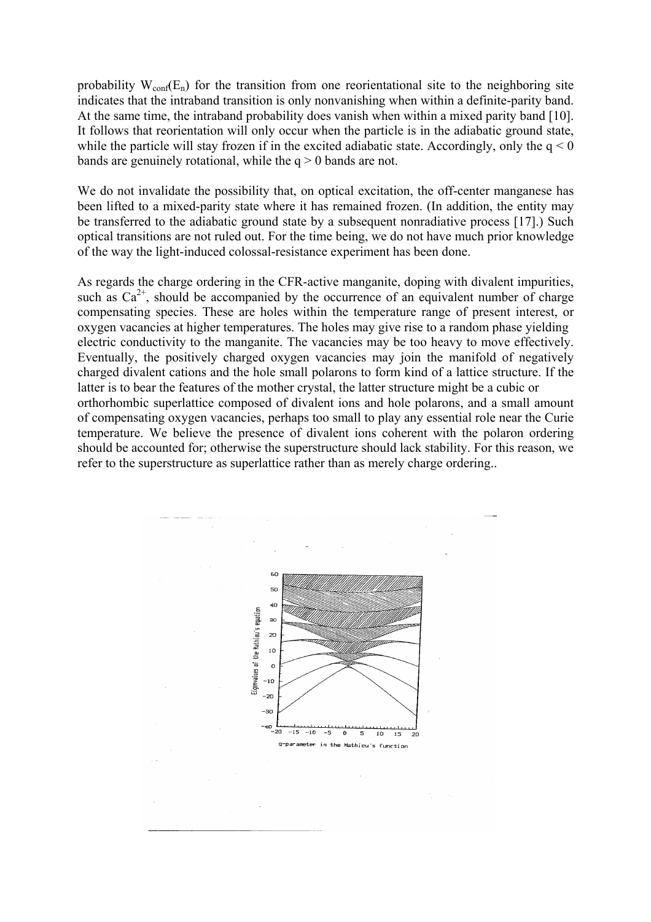probability  $W_{conf}(E_n)$  for the transition from one reorientational site to the neighboring site indicates that the intraband transition is only nonvanishing when within a definite-parity band. At the same time, the intraband probability does vanish when within a mixed parity band [10]. It follows that reorientation will only occur when the particle is in the adiabatic ground state, while the particle will stay frozen if in the excited adiabatic state. Accordingly, only the  $q < 0$ bands are genuinely rotational, while the  $q > 0$  bands are not.

We do not invalidate the possibility that, on optical excitation, the off-center manganese has been lifted to a mixed-parity state where it has remained frozen. (In addition, the entity may be transferred to the adiabatic ground state by a subsequent nonradiative process [17].) Such optical transitions are not ruled out. For the time being, we do not have much prior knowledge of the way the light-induced colossal-resistance experiment has been done.

As regards the charge ordering in the CFR-active manganite, doping with divalent impurities, such as  $Ca^{2+}$ , should be accompanied by the occurrence of an equivalent number of charge compensating species. These are holes within the temperature range of present interest, or oxygen vacancies at higher temperatures. The holes may give rise to a random phase yielding electric conductivity to the manganite. The vacancies may be too heavy to move effectively. Eventually, the positively charged oxygen vacancies may join the manifold of negatively charged divalent cations and the hole small polarons to form kind of a lattice structure. If the latter is to bear the features of the mother crystal, the latter structure might be a cubic or orthorhombic superlattice composed of divalent ions and hole polarons, and a small amount of compensating oxygen vacancies, perhaps too small to play any essential role near the Curie temperature. We believe the presence of divalent ions coherent with the polaron ordering should be accounted for; otherwise the superstructure should lack stability. For this reason, we refer to the superstructure as superlattice rather than as merely charge ordering..